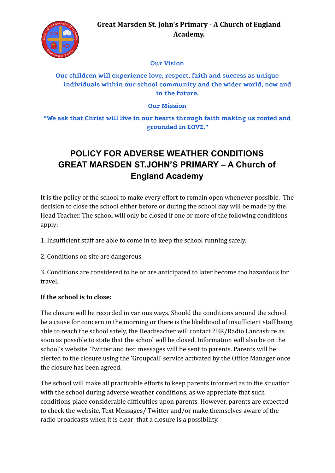

#### **Our Vision**

## **Our children will experience love, respect, faith and success as unique individuals within our school community and the wider world, now and in the future.**

#### **Our Mission**

**"We ask that Christ will live in our hearts through faith making us rooted and grounded in LOVE."**

# **POLICY FOR ADVERSE WEATHER CONDITIONS GREAT MARSDEN ST.JOHN'S PRIMARY – A Church of England Academy**

It is the policy of the school to make every effort to remain open whenever possible. The decision to close the school either before or during the school day will be made by the Head Teacher. The school will only be closed if one or more of the following conditions apply:

1. Insufficient staff are able to come in to keep the school running safely.

2. Conditions on site are dangerous.

3. Conditions are considered to be or are anticipated to later become too hazardous for travel.

### **If the school is to close:**

The closure will be recorded in various ways. Should the conditions around the school be a cause for concern in the morning or there is the likelihood of insufficient staff being able to reach the school safely, the Headteacher will contact 2BR/Radio Lancashire as soon as possible to state that the school will be closed. Information will also be on the school's website, Twitter and text messages will be sent to parents. Parents will be alerted to the closure using the 'Groupcall' service activated by the Office Manager once the closure has been agreed.

The school will make all practicable efforts to keep parents informed as to the situation with the school during adverse weather conditions, as we appreciate that such conditions place considerable difficulties upon parents. However, parents are expected to check the website, Text Messages/ Twitter and/or make themselves aware of the radio broadcasts when it is clear that a closure is a possibility.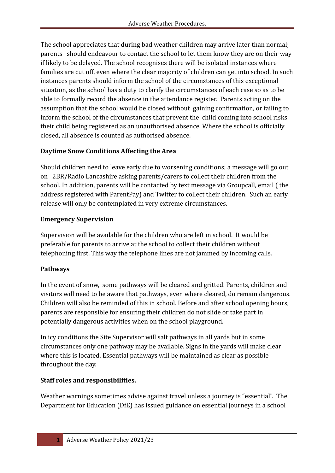The school appreciates that during bad weather children may arrive later than normal; parents should endeavour to contact the school to let them know they are on their way if likely to be delayed. The school recognises there will be isolated instances where families are cut off, even where the clear majority of children can get into school. In such instances parents should inform the school of the circumstances of this exceptional situation, as the school has a duty to clarify the circumstances of each case so as to be able to formally record the absence in the attendance register. Parents acting on the assumption that the school would be closed without gaining confirmation, or failing to inform the school of the circumstances that prevent the child coming into school risks their child being registered as an unauthorised absence. Where the school is officially closed, all absence is counted as authorised absence.

## **Daytime Snow Conditions Affecting the Area**

Should children need to leave early due to worsening conditions; a message will go out on 2BR/Radio Lancashire asking parents/carers to collect their children from the school. In addition, parents will be contacted by text message via Groupcall, email ( the address registered with ParentPay) and Twitter to collect their children. Such an early release will only be contemplated in very extreme circumstances.

## **Emergency Supervision**

Supervision will be available for the children who are left in school. It would be preferable for parents to arrive at the school to collect their children without telephoning first. This way the telephone lines are not jammed by incoming calls.

# **Pathways**

In the event of snow, some pathways will be cleared and gritted. Parents, children and visitors will need to be aware that pathways, even where cleared, do remain dangerous. Children will also be reminded of this in school. Before and after school opening hours, parents are responsible for ensuring their children do not slide or take part in potentially dangerous activities when on the school playground.

In icy conditions the Site Supervisor will salt pathways in all yards but in some circumstances only one pathway may be available. Signs in the yards will make clear where this is located. Essential pathways will be maintained as clear as possible throughout the day.

# **Staff roles and responsibilities.**

Weather warnings sometimes advise against travel unless a journey is "essential". The Department for Education (DfE) has issued guidance on essential journeys in a school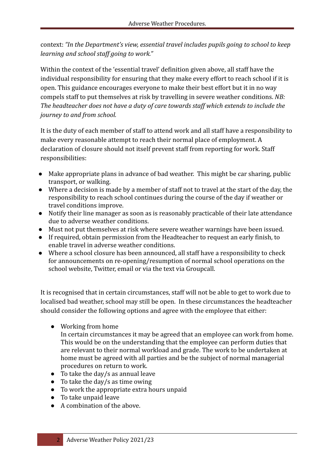context: *"In the Department's view, essential travel includes pupils going to school to keep learning and school staff going to work."*

Within the context of the 'essential travel' definition given above, all staff have the individual responsibility for ensuring that they make every effort to reach school if it is open. This guidance encourages everyone to make their best effort but it in no way compels staff to put themselves at risk by travelling in severe weather conditions. *NB: The headteacher does not have a duty of care towards staff which extends to include the journey to and from school.*

It is the duty of each member of staff to attend work and all staff have a responsibility to make every reasonable attempt to reach their normal place of employment. A declaration of closure should not itself prevent staff from reporting for work. Staff responsibilities:

- Make appropriate plans in advance of bad weather. This might be car sharing, public transport, or walking.
- Where a decision is made by a member of staff not to travel at the start of the day, the responsibility to reach school continues during the course of the day if weather or travel conditions improve.
- Notify their line manager as soon as is reasonably practicable of their late attendance due to adverse weather conditions.
- Must not put themselves at risk where severe weather warnings have been issued.
- If required, obtain permission from the Headteacher to request an early finish, to enable travel in adverse weather conditions.
- Where a school closure has been announced, all staff have a responsibility to check for announcements on re-opening/resumption of normal school operations on the school website, Twitter, email or via the text via Groupcall.

It is recognised that in certain circumstances, staff will not be able to get to work due to localised bad weather, school may still be open. In these circumstances the headteacher should consider the following options and agree with the employee that either:

● Working from home

In certain circumstances it may be agreed that an employee can work from home. This would be on the understanding that the employee can perform duties that are relevant to their normal workload and grade. The work to be undertaken at home must be agreed with all parties and be the subject of normal managerial procedures on return to work.

- $\bullet$  To take the day/s as annual leave
- $\bullet$  To take the day/s as time owing
- To work the appropriate extra hours unpaid
- To take unpaid leave
- A combination of the above.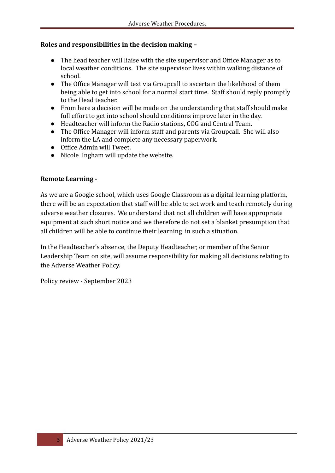#### **Roles and responsibilities in the decision making –**

- The head teacher will liaise with the site supervisor and Office Manager as to local weather conditions. The site supervisor lives within walking distance of school.
- The Office Manager will text via Groupcall to ascertain the likelihood of them being able to get into school for a normal start time. Staff should reply promptly to the Head teacher.
- From here a decision will be made on the understanding that staff should make full effort to get into school should conditions improve later in the day.
- Headteacher will inform the Radio stations, COG and Central Team.
- The Office Manager will inform staff and parents via Groupcall. She will also inform the LA and complete any necessary paperwork.
- Office Admin will Tweet.
- Nicole Ingham will update the website.

#### **Remote Learning -**

As we are a Google school, which uses Google Classroom as a digital learning platform, there will be an expectation that staff will be able to set work and teach remotely during adverse weather closures. We understand that not all children will have appropriate equipment at such short notice and we therefore do not set a blanket presumption that all children will be able to continue their learning in such a situation.

In the Headteacher's absence, the Deputy Headteacher, or member of the Senior Leadership Team on site, will assume responsibility for making all decisions relating to the Adverse Weather Policy.

Policy review - September 2023